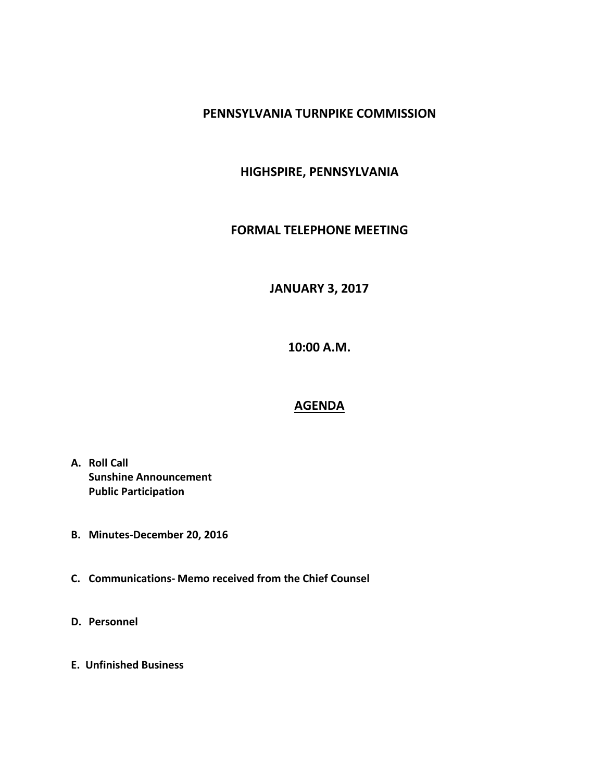### **PENNSYLVANIA TURNPIKE COMMISSION**

# **HIGHSPIRE, PENNSYLVANIA**

#### **FORMAL TELEPHONE MEETING**

# **JANUARY 3, 2017**

**10:00 A.M.**

#### **AGENDA**

- **A. Roll Call Sunshine Announcement Public Participation**
- **B. Minutes-December 20, 2016**
- **C. Communications- Memo received from the Chief Counsel**
- **D. Personnel**
- **E. Unfinished Business**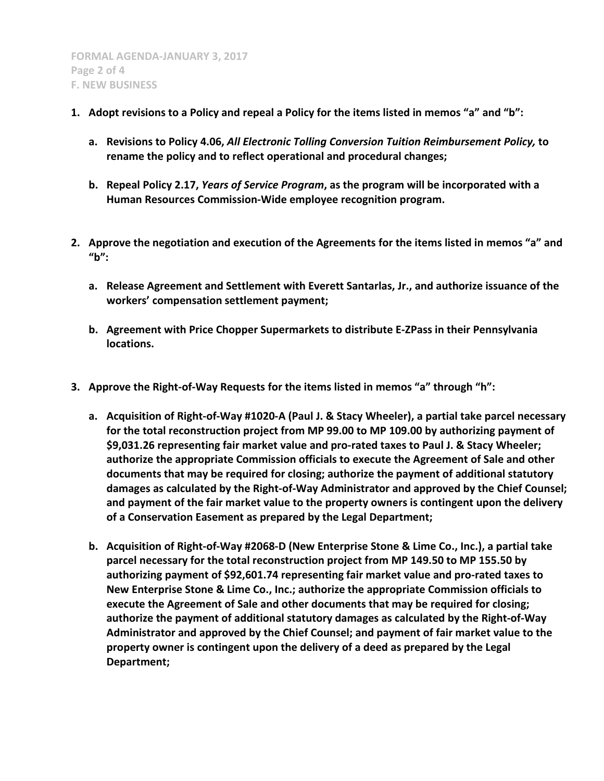- **1. Adopt revisions to a Policy and repeal a Policy for the items listed in memos "a" and "b":**
	- **a. Revisions to Policy 4.06,** *All Electronic Tolling Conversion Tuition Reimbursement Policy,* **to rename the policy and to reflect operational and procedural changes;**
	- **b. Repeal Policy 2.17,** *Years of Service Program***, as the program will be incorporated with a Human Resources Commission-Wide employee recognition program.**
- **2. Approve the negotiation and execution of the Agreements for the items listed in memos "a" and "b":**
	- **a. Release Agreement and Settlement with Everett Santarlas, Jr., and authorize issuance of the workers' compensation settlement payment;**
	- **b. Agreement with Price Chopper Supermarkets to distribute E-ZPass in their Pennsylvania locations.**
- **3. Approve the Right-of-Way Requests for the items listed in memos "a" through "h":**
	- **a. Acquisition of Right-of-Way #1020-A (Paul J. & Stacy Wheeler), a partial take parcel necessary for the total reconstruction project from MP 99.00 to MP 109.00 by authorizing payment of \$9,031.26 representing fair market value and pro-rated taxes to Paul J. & Stacy Wheeler; authorize the appropriate Commission officials to execute the Agreement of Sale and other documents that may be required for closing; authorize the payment of additional statutory damages as calculated by the Right-of-Way Administrator and approved by the Chief Counsel; and payment of the fair market value to the property owners is contingent upon the delivery of a Conservation Easement as prepared by the Legal Department;**
	- **b. Acquisition of Right-of-Way #2068-D (New Enterprise Stone & Lime Co., Inc.), a partial take parcel necessary for the total reconstruction project from MP 149.50 to MP 155.50 by authorizing payment of \$92,601.74 representing fair market value and pro-rated taxes to New Enterprise Stone & Lime Co., Inc.; authorize the appropriate Commission officials to execute the Agreement of Sale and other documents that may be required for closing; authorize the payment of additional statutory damages as calculated by the Right-of-Way Administrator and approved by the Chief Counsel; and payment of fair market value to the property owner is contingent upon the delivery of a deed as prepared by the Legal Department;**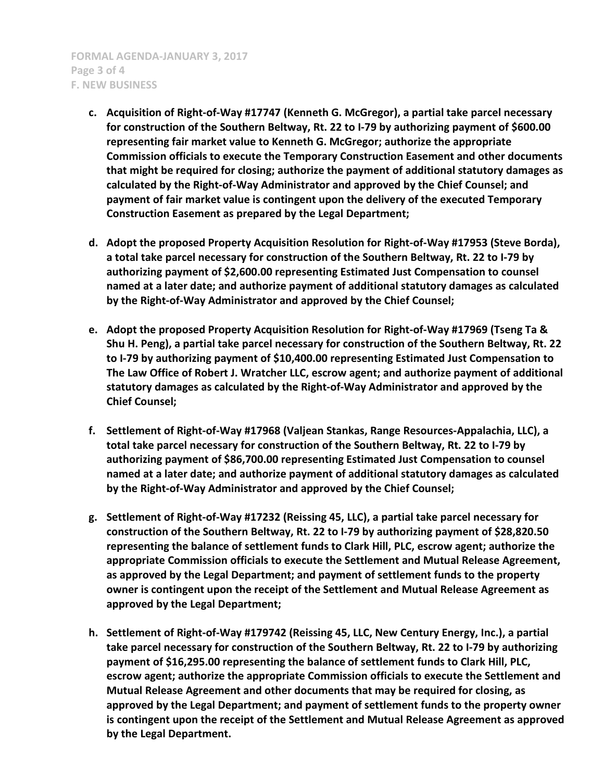- **c. Acquisition of Right-of-Way #17747 (Kenneth G. McGregor), a partial take parcel necessary for construction of the Southern Beltway, Rt. 22 to I-79 by authorizing payment of \$600.00 representing fair market value to Kenneth G. McGregor; authorize the appropriate Commission officials to execute the Temporary Construction Easement and other documents that might be required for closing; authorize the payment of additional statutory damages as calculated by the Right-of-Way Administrator and approved by the Chief Counsel; and payment of fair market value is contingent upon the delivery of the executed Temporary Construction Easement as prepared by the Legal Department;**
- **d. Adopt the proposed Property Acquisition Resolution for Right-of-Way #17953 (Steve Borda), a total take parcel necessary for construction of the Southern Beltway, Rt. 22 to I-79 by authorizing payment of \$2,600.00 representing Estimated Just Compensation to counsel named at a later date; and authorize payment of additional statutory damages as calculated by the Right-of-Way Administrator and approved by the Chief Counsel;**
- **e. Adopt the proposed Property Acquisition Resolution for Right-of-Way #17969 (Tseng Ta & Shu H. Peng), a partial take parcel necessary for construction of the Southern Beltway, Rt. 22 to I-79 by authorizing payment of \$10,400.00 representing Estimated Just Compensation to The Law Office of Robert J. Wratcher LLC, escrow agent; and authorize payment of additional statutory damages as calculated by the Right-of-Way Administrator and approved by the Chief Counsel;**
- **f. Settlement of Right-of-Way #17968 (Valjean Stankas, Range Resources-Appalachia, LLC), a total take parcel necessary for construction of the Southern Beltway, Rt. 22 to I-79 by authorizing payment of \$86,700.00 representing Estimated Just Compensation to counsel named at a later date; and authorize payment of additional statutory damages as calculated by the Right-of-Way Administrator and approved by the Chief Counsel;**
- **g. Settlement of Right-of-Way #17232 (Reissing 45, LLC), a partial take parcel necessary for construction of the Southern Beltway, Rt. 22 to I-79 by authorizing payment of \$28,820.50 representing the balance of settlement funds to Clark Hill, PLC, escrow agent; authorize the appropriate Commission officials to execute the Settlement and Mutual Release Agreement, as approved by the Legal Department; and payment of settlement funds to the property owner is contingent upon the receipt of the Settlement and Mutual Release Agreement as approved by the Legal Department;**
- **h. Settlement of Right-of-Way #179742 (Reissing 45, LLC, New Century Energy, Inc.), a partial take parcel necessary for construction of the Southern Beltway, Rt. 22 to I-79 by authorizing payment of \$16,295.00 representing the balance of settlement funds to Clark Hill, PLC, escrow agent; authorize the appropriate Commission officials to execute the Settlement and Mutual Release Agreement and other documents that may be required for closing, as approved by the Legal Department; and payment of settlement funds to the property owner is contingent upon the receipt of the Settlement and Mutual Release Agreement as approved by the Legal Department.**